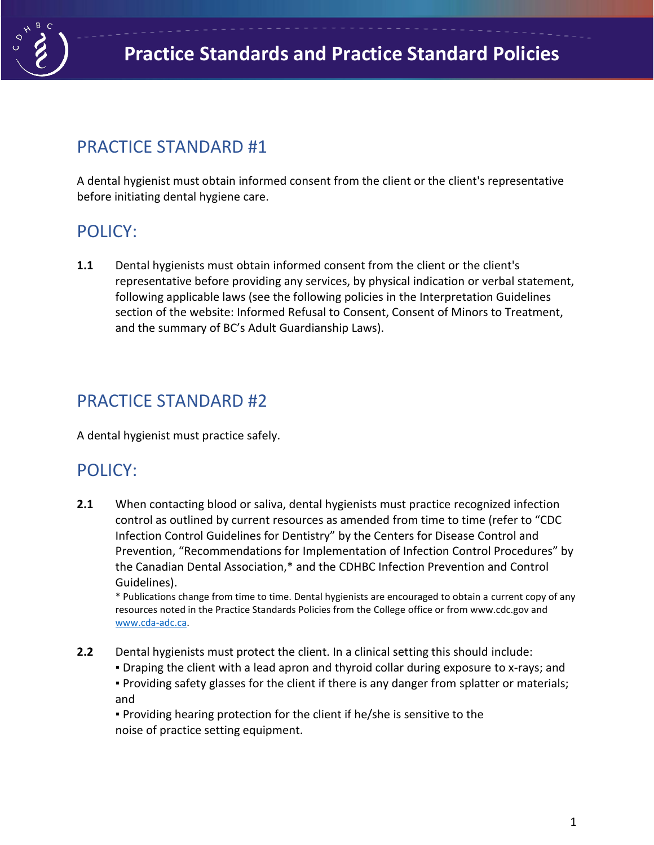

# PRACTICE STANDARD #1

A dental hygienist must obtain informed consent from the client or the client's representative before initiating dental hygiene care.

## POLICY:

**1.1** Dental hygienists must obtain informed consent from the client or the client's representative before providing any services, by physical indication or verbal statement, following applicable laws (see the following policies in the Interpretation Guidelines section of the website: Informed Refusal to Consent, Consent of Minors to Treatment, and the summary of BC's Adult Guardianship Laws).

### PRACTICE STANDARD #2

A dental hygienist must practice safely.

## POLICY:

**2.1** When contacting blood or saliva, dental hygienists must practice recognized infection control as outlined by current resources as amended from time to time (refer to "CDC Infection Control Guidelines for Dentistry" by the Centers for Disease Control and Prevention, "Recommendations for Implementation of Infection Control Procedures" by the Canadian Dental Association,\* and the CDHBC Infection Prevention and Control Guidelines).

\* Publications change from time to time. Dental hygienists are encouraged to obtain a current copy of any resources noted in the Practice Standards Policies from the College office or from www.cdc.gov and [www.cda-adc.ca.](http://www.cda-adc.ca/)

- **2.2** Dental hygienists must protect the client. In a clinical setting this should include:
	- **Draping the client with a lead apron and thyroid collar during exposure to x-rays; and**

▪ Providing safety glasses for the client if there is any danger from splatter or materials; and

▪ Providing hearing protection for the client if he/she is sensitive to the noise of practice setting equipment.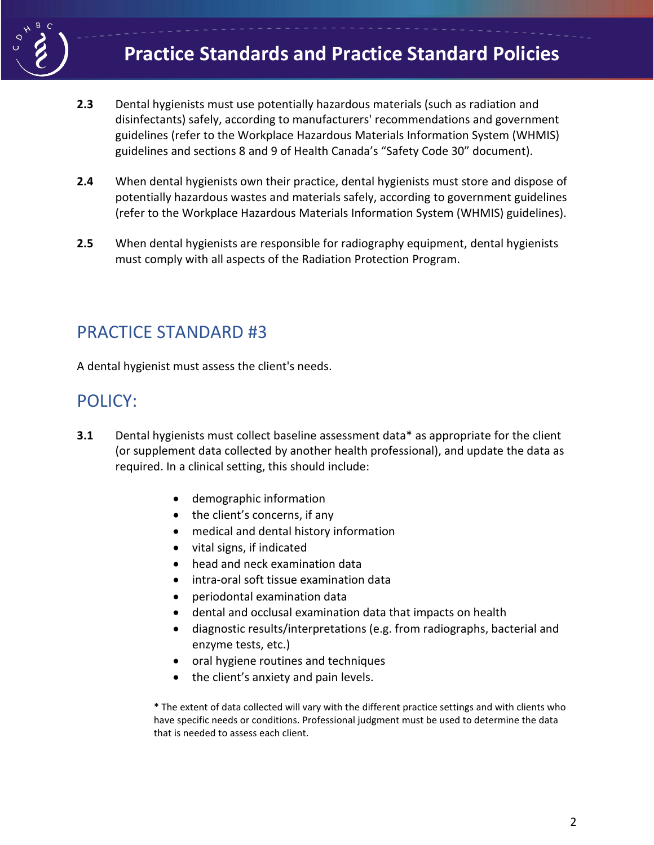

- **2.3** Dental hygienists must use potentially hazardous materials (such as radiation and disinfectants) safely, according to manufacturers' recommendations and government guidelines (refer to the Workplace Hazardous Materials Information System (WHMIS) guidelines and sections 8 and 9 of Health Canada's "Safety Code 30" document).
- **2.4** When dental hygienists own their practice, dental hygienists must store and dispose of potentially hazardous wastes and materials safely, according to government guidelines (refer to the Workplace Hazardous Materials Information System (WHMIS) guidelines).
- **2.5** When dental hygienists are responsible for radiography equipment, dental hygienists must comply with all aspects of the Radiation Protection Program.

#### PRACTICE STANDARD #3

A dental hygienist must assess the client's needs.

#### POLICY:

- **3.1** Dental hygienists must collect baseline assessment data\* as appropriate for the client (or supplement data collected by another health professional), and update the data as required. In a clinical setting, this should include:
	- demographic information
	- the client's concerns, if any
	- medical and dental history information
	- vital signs, if indicated
	- head and neck examination data
	- intra-oral soft tissue examination data
	- periodontal examination data
	- dental and occlusal examination data that impacts on health
	- diagnostic results/interpretations (e.g. from radiographs, bacterial and enzyme tests, etc.)
	- oral hygiene routines and techniques
	- the client's anxiety and pain levels.

\* The extent of data collected will vary with the different practice settings and with clients who have specific needs or conditions. Professional judgment must be used to determine the data that is needed to assess each client.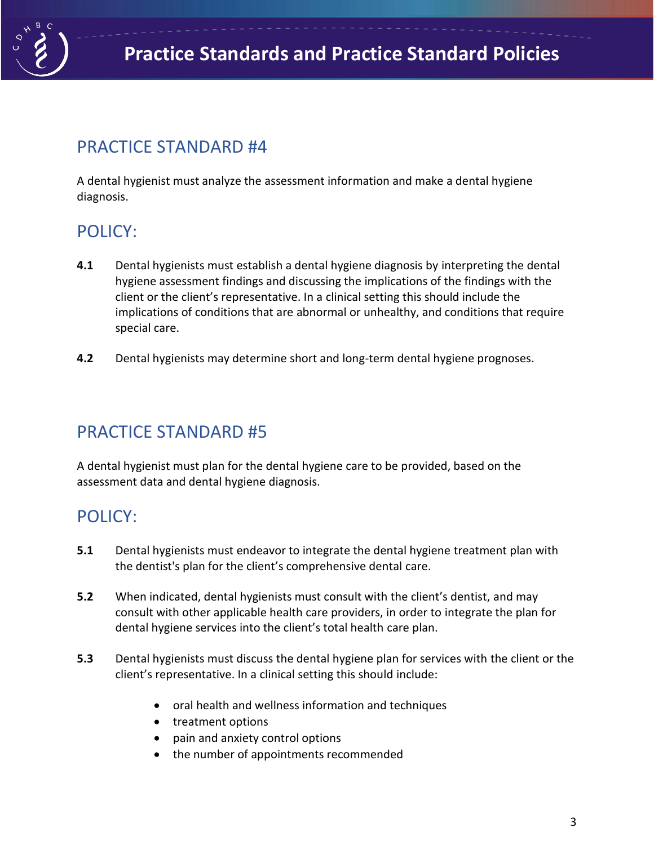

### PRACTICE STANDARD #4

A dental hygienist must analyze the assessment information and make a dental hygiene diagnosis.

# POLICY:

- **4.1** Dental hygienists must establish a dental hygiene diagnosis by interpreting the dental hygiene assessment findings and discussing the implications of the findings with the client or the client's representative. In a clinical setting this should include the implications of conditions that are abnormal or unhealthy, and conditions that require special care.
- **4.2** Dental hygienists may determine short and long-term dental hygiene prognoses.

### PRACTICE STANDARD #5

A dental hygienist must plan for the dental hygiene care to be provided, based on the assessment data and dental hygiene diagnosis.

## POLICY:

- **5.1** Dental hygienists must endeavor to integrate the dental hygiene treatment plan with the dentist's plan for the client's comprehensive dental care.
- **5.2** When indicated, dental hygienists must consult with the client's dentist, and may consult with other applicable health care providers, in order to integrate the plan for dental hygiene services into the client's total health care plan.
- **5.3** Dental hygienists must discuss the dental hygiene plan for services with the client or the client's representative. In a clinical setting this should include:
	- oral health and wellness information and techniques
	- treatment options
	- pain and anxiety control options
	- the number of appointments recommended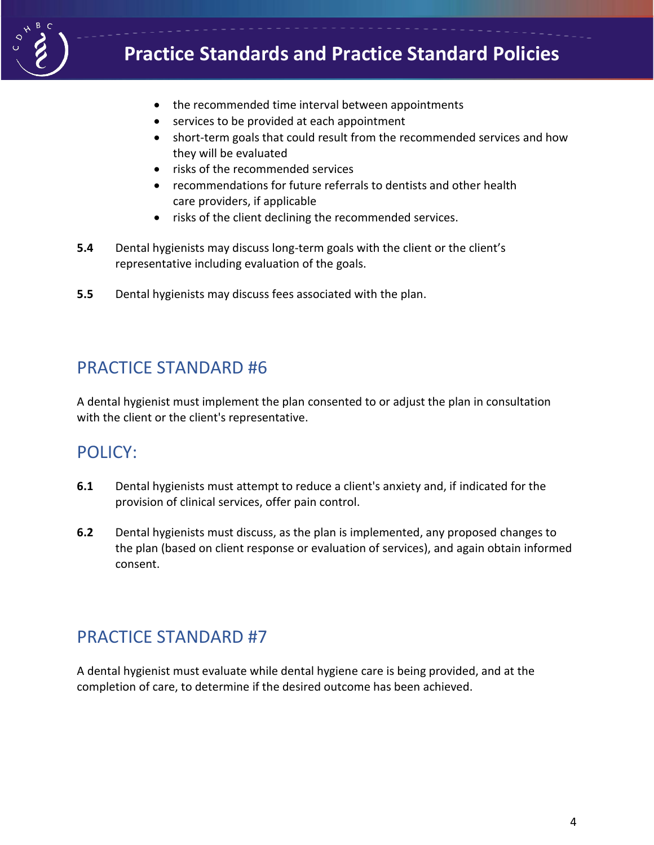

# **Practice Standards and Practice Standard Policies**

- the recommended time interval between appointments
- services to be provided at each appointment
- short-term goals that could result from the recommended services and how they will be evaluated
- risks of the recommended services
- recommendations for future referrals to dentists and other health care providers, if applicable
- risks of the client declining the recommended services.
- **5.4** Dental hygienists may discuss long-term goals with the client or the client's representative including evaluation of the goals.
- **5.5** Dental hygienists may discuss fees associated with the plan.

#### PRACTICE STANDARD #6

A dental hygienist must implement the plan consented to or adjust the plan in consultation with the client or the client's representative.

### POLICY:

- **6.1** Dental hygienists must attempt to reduce a client's anxiety and, if indicated for the provision of clinical services, offer pain control.
- **6.2** Dental hygienists must discuss, as the plan is implemented, any proposed changes to the plan (based on client response or evaluation of services), and again obtain informed consent.

### PRACTICE STANDARD #7

A dental hygienist must evaluate while dental hygiene care is being provided, and at the completion of care, to determine if the desired outcome has been achieved.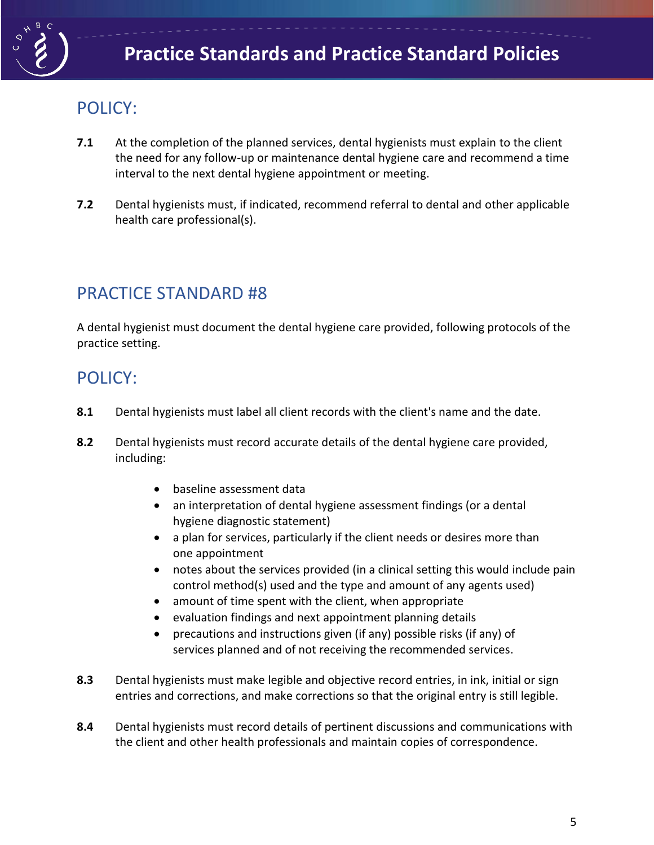

### POLICY:

- **7.1** At the completion of the planned services, dental hygienists must explain to the client the need for any follow-up or maintenance dental hygiene care and recommend a time interval to the next dental hygiene appointment or meeting.
- **7.2** Dental hygienists must, if indicated, recommend referral to dental and other applicable health care professional(s).

### PRACTICE STANDARD #8

A dental hygienist must document the dental hygiene care provided, following protocols of the practice setting.

### POLICY:

- **8.1** Dental hygienists must label all client records with the client's name and the date.
- **8.2** Dental hygienists must record accurate details of the dental hygiene care provided, including:
	- baseline assessment data
	- an interpretation of dental hygiene assessment findings (or a dental hygiene diagnostic statement)
	- a plan for services, particularly if the client needs or desires more than one appointment
	- notes about the services provided (in a clinical setting this would include pain control method(s) used and the type and amount of any agents used)
	- amount of time spent with the client, when appropriate
	- evaluation findings and next appointment planning details
	- precautions and instructions given (if any) possible risks (if any) of services planned and of not receiving the recommended services.
- **8.3** Dental hygienists must make legible and objective record entries, in ink, initial or sign entries and corrections, and make corrections so that the original entry is still legible.
- **8.4** Dental hygienists must record details of pertinent discussions and communications with the client and other health professionals and maintain copies of correspondence.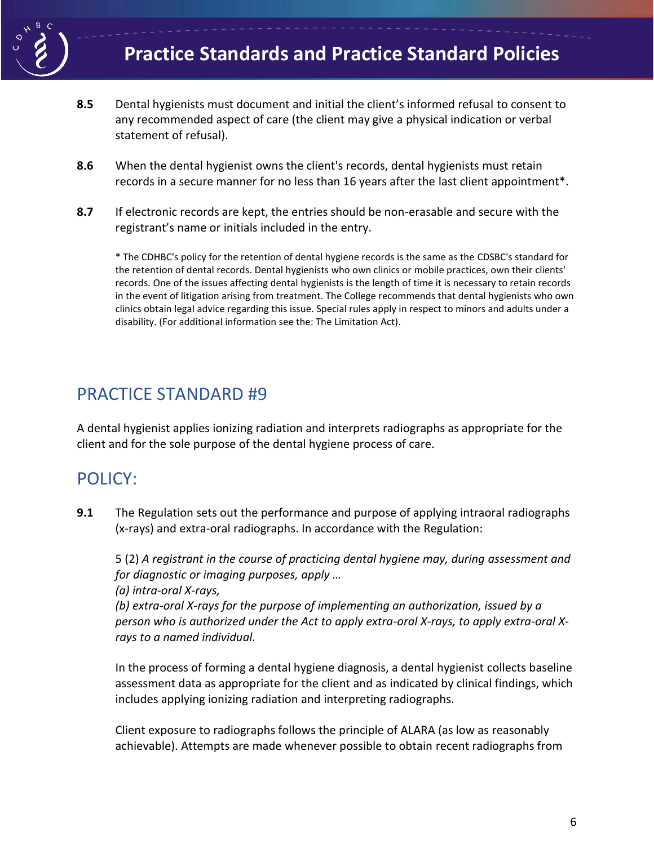

- **8.5** Dental hygienists must document and initial the client's informed refusal to consent to any recommended aspect of care (the client may give a physical indication or verbal statement of refusal).
- **8.6** When the dental hygienist owns the client's records, dental hygienists must retain records in a secure manner for no less than 16 years after the last client appointment\*.
- **8.7** If electronic records are kept, the entries should be non-erasable and secure with the registrant's name or initials included in the entry.

\* The CDHBC's policy for the retention of dental hygiene records is the same as the CDSBC's standard for the retention of dental records. Dental hygienists who own clinics or mobile practices, own their clients' records. One of the issues affecting dental hygienists is the length of time it is necessary to retain records in the event of litigation arising from treatment. The College recommends that dental hygienists who own clinics obtain legal advice regarding this issue. Special rules apply in respect to minors and adults under a disability. (For additional information see the: The Limitation Act).

### PRACTICE STANDARD #9

A dental hygienist applies ionizing radiation and interprets radiographs as appropriate for the client and for the sole purpose of the dental hygiene process of care.

### POLICY:

**9.1** The Regulation sets out the performance and purpose of applying intraoral radiographs (x-rays) and extra-oral radiographs. In accordance with the Regulation:

5 (2) *A registrant in the course of practicing dental hygiene may, during assessment and for diagnostic or imaging purposes, apply …*

*(a) intra-oral X-rays,*

*(b) extra-oral X-rays for the purpose of implementing an authorization, issued by a person who is authorized under the Act to apply extra-oral X-rays, to apply extra-oral Xrays to a named individual.*

In the process of forming a dental hygiene diagnosis, a dental hygienist collects baseline assessment data as appropriate for the client and as indicated by clinical findings, which includes applying ionizing radiation and interpreting radiographs.

Client exposure to radiographs follows the principle of ALARA (as low as reasonably achievable). Attempts are made whenever possible to obtain recent radiographs from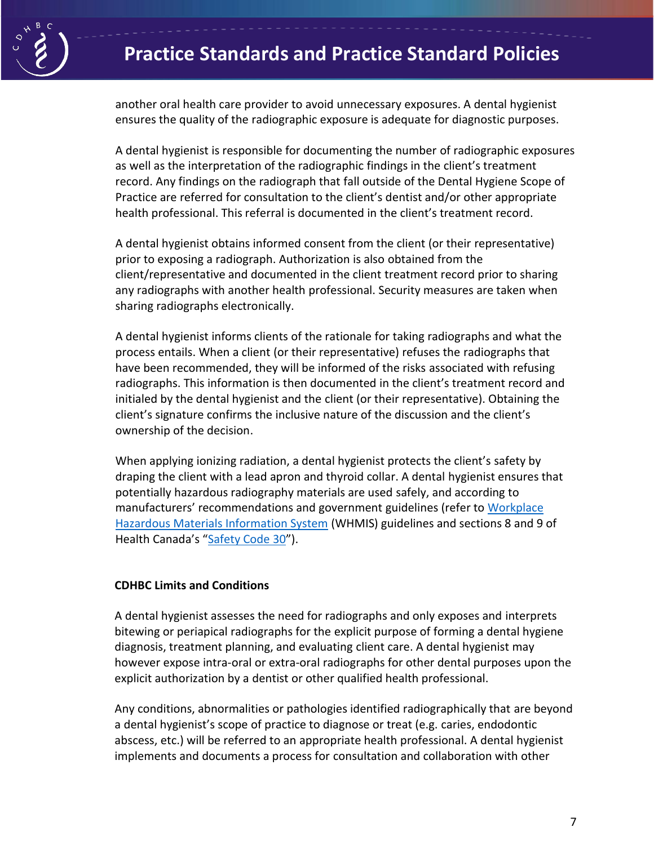

another oral health care provider to avoid unnecessary exposures. A dental hygienist ensures the quality of the radiographic exposure is adequate for diagnostic purposes.

A dental hygienist is responsible for documenting the number of radiographic exposures as well as the interpretation of the radiographic findings in the client's treatment record. Any findings on the radiograph that fall outside of the Dental Hygiene Scope of Practice are referred for consultation to the client's dentist and/or other appropriate health professional. This referral is documented in the client's treatment record.

A dental hygienist obtains informed consent from the client (or their representative) prior to exposing a radiograph. Authorization is also obtained from the client/representative and documented in the client treatment record prior to sharing any radiographs with another health professional. Security measures are taken when sharing radiographs electronically.

A dental hygienist informs clients of the rationale for taking radiographs and what the process entails. When a client (or their representative) refuses the radiographs that have been recommended, they will be informed of the risks associated with refusing radiographs. This information is then documented in the client's treatment record and initialed by the dental hygienist and the client (or their representative). Obtaining the client's signature confirms the inclusive nature of the discussion and the client's ownership of the decision.

When applying ionizing radiation, a dental hygienist protects the client's safety by draping the client with a lead apron and thyroid collar. A dental hygienist ensures that potentially hazardous radiography materials are used safely, and according to manufacturers' recommendations and government guidelines (refer to [Workplace](https://www.canada.ca/en/health-canada/services/environmental-workplace-health/occupational-health-safety/workplace-hazardous-materials-information-system.html)  [Hazardous Materials Information System](https://www.canada.ca/en/health-canada/services/environmental-workplace-health/occupational-health-safety/workplace-hazardous-materials-information-system.html) (WHMIS) guidelines and sections 8 and 9 of Health Canada's "[Safety Code](https://www.canada.ca/en/health-canada/services/environmental-workplace-health/reports-publications/radiation/radiation-protection-dentistry-recommended-safety-procedures-use-dental-equipment-safety-code-30.html) 30").

#### **CDHBC Limits and Conditions**

A dental hygienist assesses the need for radiographs and only exposes and interprets bitewing or periapical radiographs for the explicit purpose of forming a dental hygiene diagnosis, treatment planning, and evaluating client care. A dental hygienist may however expose intra-oral or extra-oral radiographs for other dental purposes upon the explicit authorization by a dentist or other qualified health professional.

Any conditions, abnormalities or pathologies identified radiographically that are beyond a dental hygienist's scope of practice to diagnose or treat (e.g. caries, endodontic abscess, etc.) will be referred to an appropriate health professional. A dental hygienist implements and documents a process for consultation and collaboration with other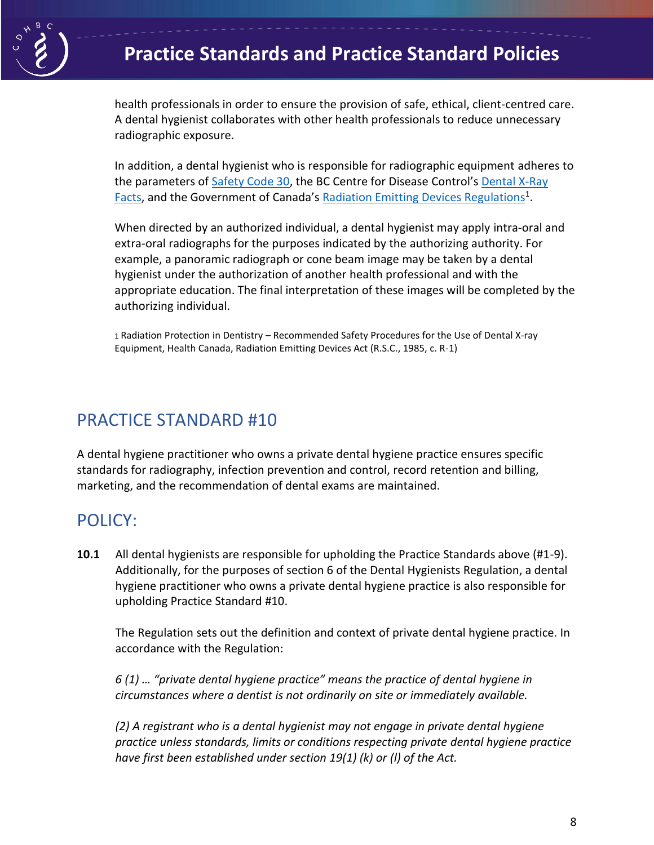

health professionals in order to ensure the provision of safe, ethical, client-centred care. A dental hygienist collaborates with other health professionals to reduce unnecessary radiographic exposure.

In addition, a dental hygienist who is responsible for radiographic equipment adheres to the parameters of [Safety Code 30,](https://www.canada.ca/en/health-canada/services/environmental-workplace-health/reports-publications/radiation/radiation-protection-dentistry-recommended-safety-procedures-use-dental-equipment-safety-code-30.html) the BC Centre for Disease Control's Dental X-Ray [Facts](http://www.bccdc.ca/resource-gallery/Documents/Guidelines%20and%20Forms/Guidelines%20and%20Manuals/EH/RPS/DentalXRayFacts.pdf), and the Government of Canada's Radiation [Emitting Devices Regulations](https://laws-lois.justice.gc.ca/PDF/C.R.C.,_c._1370.pdf)<sup>1</sup>.

When directed by an authorized individual, a dental hygienist may apply intra-oral and extra-oral radiographs for the purposes indicated by the authorizing authority. For example, a panoramic radiograph or cone beam image may be taken by a dental hygienist under the authorization of another health professional and with the appropriate education. The final interpretation of these images will be completed by the authorizing individual.

<sup>1</sup>Radiation Protection in Dentistry – Recommended Safety Procedures for the Use of Dental X-ray Equipment, Health Canada, Radiation Emitting Devices Act (R.S.C., 1985, c. R-1)

#### PRACTICE STANDARD #10

A dental hygiene practitioner who owns a private dental hygiene practice ensures specific standards for radiography, infection prevention and control, record retention and billing, marketing, and the recommendation of dental exams are maintained.

### POLICY:

**10.1** All dental hygienists are responsible for upholding the Practice Standards above (#1-9). Additionally, for the purposes of section 6 of the Dental Hygienists Regulation, a dental hygiene practitioner who owns a private dental hygiene practice is also responsible for upholding Practice Standard #10.

The Regulation sets out the definition and context of private dental hygiene practice. In accordance with the Regulation:

*6 (1) … "private dental hygiene practice" means the practice of dental hygiene in circumstances where a dentist is not ordinarily on site or immediately available.*

*(2) A registrant who is a dental hygienist may not engage in private dental hygiene practice unless standards, limits or conditions respecting private dental hygiene practice have first been established under section 19(1) (k) or (l) of the Act.*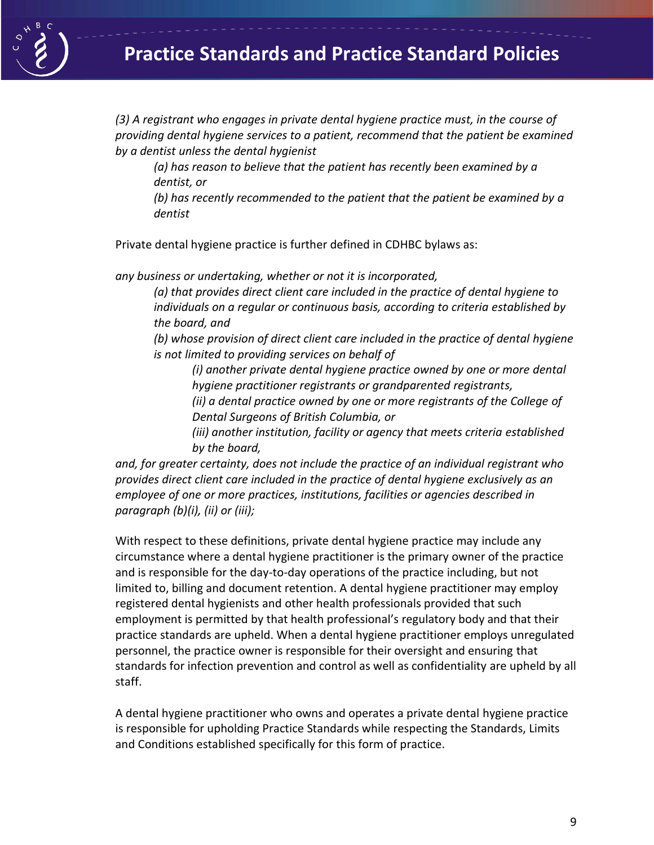

*(3) A registrant who engages in private dental hygiene practice must, in the course of providing dental hygiene services to a patient, recommend that the patient be examined by a dentist unless the dental hygienist*

*(a) has reason to believe that the patient has recently been examined by a dentist, or*

*(b) has recently recommended to the patient that the patient be examined by a dentist*

Private dental hygiene practice is further defined in CDHBC bylaws as:

*any business or undertaking, whether or not it is incorporated,*

*(a) that provides direct client care included in the practice of dental hygiene to individuals on a regular or continuous basis, according to criteria established by the board, and*

*(b) whose provision of direct client care included in the practice of dental hygiene is not limited to providing services on behalf of*

*(i) another private dental hygiene practice owned by one or more dental hygiene practitioner registrants or grandparented registrants,*

*(ii) a dental practice owned by one or more registrants of the College of Dental Surgeons of British Columbia, or*

*(iii) another institution, facility or agency that meets criteria established by the board,*

*and, for greater certainty, does not include the practice of an individual registrant who provides direct client care included in the practice of dental hygiene exclusively as an employee of one or more practices, institutions, facilities or agencies described in paragraph (b)(i), (ii) or (iii);*

With respect to these definitions, private dental hygiene practice may include any circumstance where a dental hygiene practitioner is the primary owner of the practice and is responsible for the day-to-day operations of the practice including, but not limited to, billing and document retention. A dental hygiene practitioner may employ registered dental hygienists and other health professionals provided that such employment is permitted by that health professional's regulatory body and that their practice standards are upheld. When a dental hygiene practitioner employs unregulated personnel, the practice owner is responsible for their oversight and ensuring that standards for infection prevention and control as well as confidentiality are upheld by all staff.

A dental hygiene practitioner who owns and operates a private dental hygiene practice is responsible for upholding Practice Standards while respecting the Standards, Limits and Conditions established specifically for this form of practice.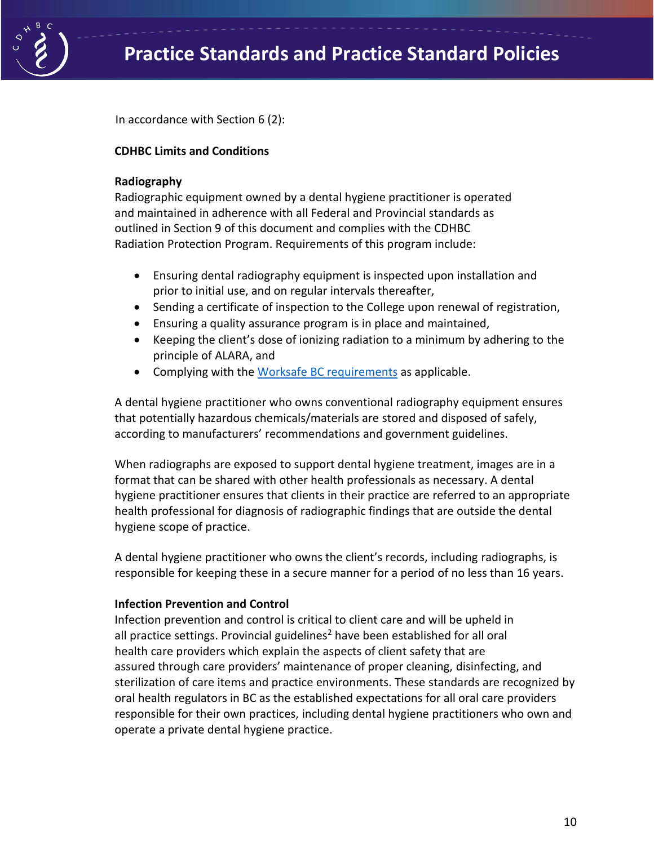

In accordance with Section 6 (2):

#### **CDHBC Limits and Conditions**

#### **Radiography**

Radiographic equipment owned by a dental hygiene practitioner is operated and maintained in adherence with all Federal and Provincial standards as outlined in Section 9 of this document and complies with the CDHBC Radiation Protection Program. Requirements of this program include:

- Ensuring dental radiography equipment is inspected upon installation and prior to initial use, and on regular intervals thereafter,
- Sending a certificate of inspection to the College upon renewal of registration,
- Ensuring a quality assurance program is in place and maintained,
- Keeping the client's dose of ionizing radiation to a minimum by adhering to the principle of ALARA, and
- Complying with the [Worksafe BC requirements](https://www.worksafebc.com/en/law-policy/occupational-health-safety/searchable-ohs-regulation/ohs-regulation/part-07-noise-vibration-radiation-and-temperature#SectionNumber:7.18) as applicable.

A dental hygiene practitioner who owns conventional radiography equipment ensures that potentially hazardous chemicals/materials are stored and disposed of safely, according to manufacturers' recommendations and government guidelines.

When radiographs are exposed to support dental hygiene treatment, images are in a format that can be shared with other health professionals as necessary. A dental hygiene practitioner ensures that clients in their practice are referred to an appropriate health professional for diagnosis of radiographic findings that are outside the dental hygiene scope of practice.

A dental hygiene practitioner who owns the client's records, including radiographs, is responsible for keeping these in a secure manner for a period of no less than 16 years.

#### **Infection Prevention and Control**

Infection prevention and control is critical to client care and will be upheld in all practice settings. Provincial guidelines<sup>2</sup> have been established for all oral health care providers which explain the aspects of client safety that are assured through care providers' maintenance of proper cleaning, disinfecting, and sterilization of care items and practice environments. These standards are recognized by oral health regulators in BC as the established expectations for all oral care providers responsible for their own practices, including dental hygiene practitioners who own and operate a private dental hygiene practice.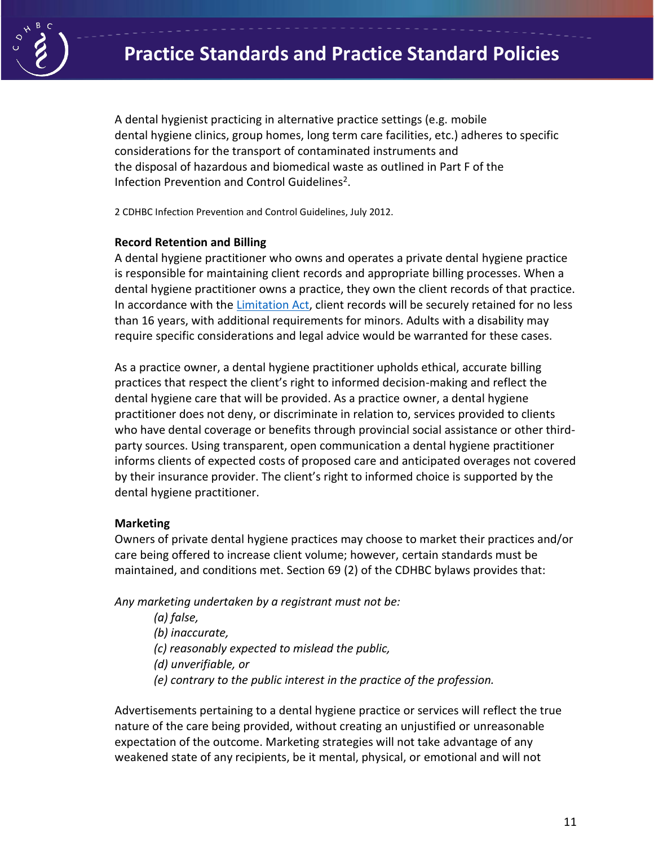

A dental hygienist practicing in alternative practice settings (e.g. mobile dental hygiene clinics, group homes, long term care facilities, etc.) adheres to specific considerations for the transport of contaminated instruments and the disposal of hazardous and biomedical waste as outlined in Part F of the Infection Prevention and Control Guidelines<sup>2</sup>.

2 CDHBC Infection Prevention and Control Guidelines, July 2012.

#### **Record Retention and Billing**

A dental hygiene practitioner who owns and operates a private dental hygiene practice is responsible for maintaining client records and appropriate billing processes. When a dental hygiene practitioner owns a practice, they own the client records of that practice. In accordance with the [Limitation Act,](http://www.bclaws.ca/civix/document/id/complete/statreg/12013_01) client records will be securely retained for no less than 16 years, with additional requirements for minors. Adults with a disability may require specific considerations and legal advice would be warranted for these cases.

As a practice owner, a dental hygiene practitioner upholds ethical, accurate billing practices that respect the client's right to informed decision-making and reflect the dental hygiene care that will be provided. As a practice owner, a dental hygiene practitioner does not deny, or discriminate in relation to, services provided to clients who have dental coverage or benefits through provincial social assistance or other thirdparty sources. Using transparent, open communication a dental hygiene practitioner informs clients of expected costs of proposed care and anticipated overages not covered by their insurance provider. The client's right to informed choice is supported by the dental hygiene practitioner.

#### **Marketing**

Owners of private dental hygiene practices may choose to market their practices and/or care being offered to increase client volume; however, certain standards must be maintained, and conditions met. Section 69 (2) of the CDHBC bylaws provides that:

*Any marketing undertaken by a registrant must not be:*

*(a) false, (b) inaccurate, (c) reasonably expected to mislead the public, (d) unverifiable, or (e) contrary to the public interest in the practice of the profession.*

Advertisements pertaining to a dental hygiene practice or services will reflect the true nature of the care being provided, without creating an unjustified or unreasonable expectation of the outcome. Marketing strategies will not take advantage of any weakened state of any recipients, be it mental, physical, or emotional and will not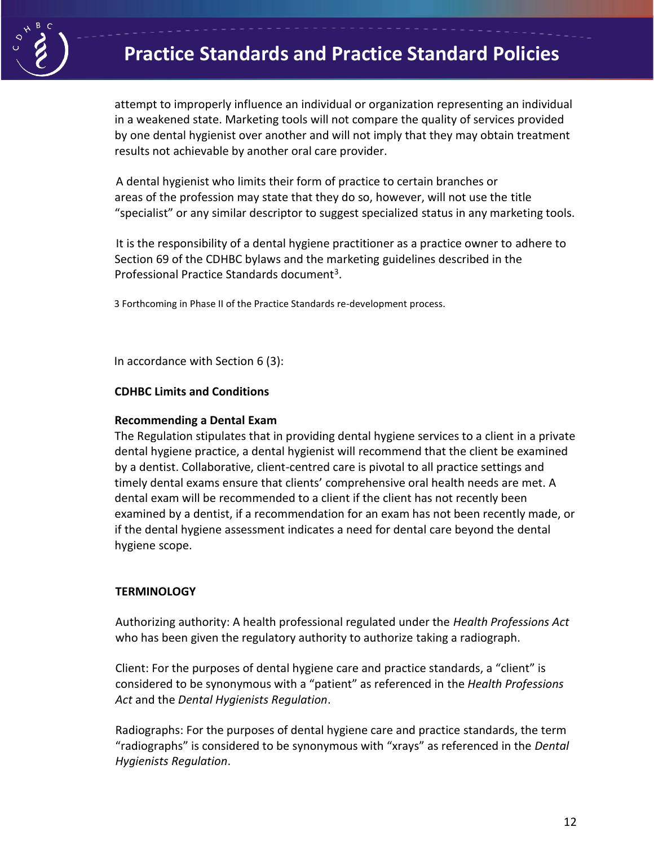

# **Practice Standards and Practice Standard Policies**

attempt to improperly influence an individual or organization representing an individual in a weakened state. Marketing tools will not compare the quality of services provided by one dental hygienist over another and will not imply that they may obtain treatment results not achievable by another oral care provider.

A dental hygienist who limits their form of practice to certain branches or areas of the profession may state that they do so, however, will not use the title "specialist" or any similar descriptor to suggest specialized status in any marketing tools.

It is the responsibility of a dental hygiene practitioner as a practice owner to adhere to Section 69 of the CDHBC bylaws and the marketing guidelines described in the Professional Practice Standards document<sup>3</sup>.

3 Forthcoming in Phase II of the Practice Standards re-development process.

In accordance with Section 6 (3):

#### **CDHBC Limits and Conditions**

#### **Recommending a Dental Exam**

The Regulation stipulates that in providing dental hygiene services to a client in a private dental hygiene practice, a dental hygienist will recommend that the client be examined by a dentist. Collaborative, client-centred care is pivotal to all practice settings and timely dental exams ensure that clients' comprehensive oral health needs are met. A dental exam will be recommended to a client if the client has not recently been examined by a dentist, if a recommendation for an exam has not been recently made, or if the dental hygiene assessment indicates a need for dental care beyond the dental hygiene scope.

#### **TERMINOLOGY**

Authorizing authority: A health professional regulated under the *Health Professions Act*  who has been given the regulatory authority to authorize taking a radiograph.

Client: For the purposes of dental hygiene care and practice standards, a "client" is considered to be synonymous with a "patient" as referenced in the *Health Professions Act* and the *Dental Hygienists Regulation*.

Radiographs: For the purposes of dental hygiene care and practice standards, the term "radiographs" is considered to be synonymous with "xrays" as referenced in the *Dental Hygienists Regulation*.